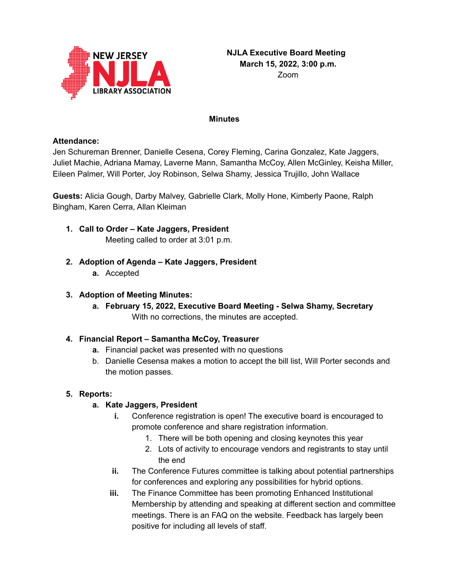

#### **Minutes**

### **Attendance:**

Jen Schureman Brenner, Danielle Cesena, Corey Fleming, Carina Gonzalez, Kate Jaggers, Juliet Machie, Adriana Mamay, Laverne Mann, Samantha McCoy, Allen McGinley, Keisha Miller, Eileen Palmer, Will Porter, Joy Robinson, Selwa Shamy, Jessica Trujillo, John Wallace

**Guests:** Alicia Gough, Darby Malvey, Gabrielle Clark, Molly Hone, Kimberly Paone, Ralph Bingham, Karen Cerra, Allan Kleiman

- **1. Call to Order – Kate Jaggers, President** Meeting called to order at 3:01 p.m.
- **2. Adoption of Agenda – Kate Jaggers, President**
	- **a.** Accepted

### **3. Adoption of Meeting Minutes:**

**a. February 15, 2022, Executive Board Meeting - Selwa Shamy, Secretary** With no corrections, the minutes are accepted.

### **4. Financial Report – Samantha McCoy, Treasurer**

- **a.** Financial packet was presented with no questions
- b. Danielle Cesensa makes a motion to accept the bill list, Will Porter seconds and the motion passes.

### **5. Reports:**

### **a. Kate Jaggers, President**

- **i.** Conference registration is open! The executive board is encouraged to promote conference and share registration information.
	- 1. There will be both opening and closing keynotes this year
	- 2. Lots of activity to encourage vendors and registrants to stay until the end
- **ii.** The Conference Futures committee is talking about potential partnerships for conferences and exploring any possibilities for hybrid options.
- **iii.** The Finance Committee has been promoting Enhanced Institutional Membership by attending and speaking at different section and committee meetings. There is an FAQ on the website. Feedback has largely been positive for including all levels of staff.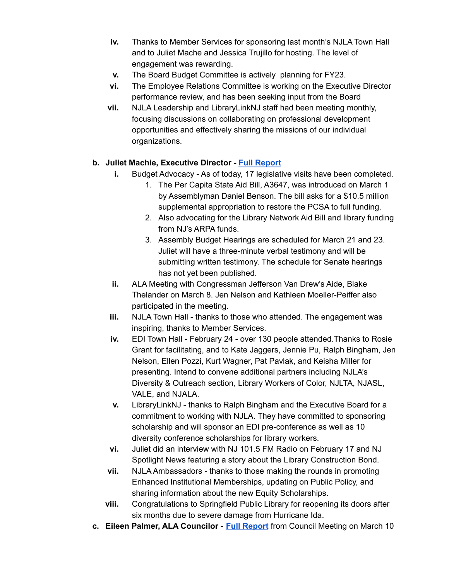- **iv.** Thanks to Member Services for sponsoring last month's NJLA Town Hall and to Juliet Mache and Jessica Trujillo for hosting. The level of engagement was rewarding.
- **v.** The Board Budget Committee is actively planning for FY23.
- **vi.** The Employee Relations Committee is working on the Executive Director performance review, and has been seeking input from the Board
- **vii.** NJLA Leadership and LibraryLinkNJ staff had been meeting monthly, focusing discussions on collaborating on professional development opportunities and effectively sharing the missions of our individual organizations.

### **b. Juliet Machie, Executive Director - Full [Report](https://njla.memberclicks.net/assets/Exec_Board_Minutes_Docs/Board_Docs_2021-22/Exec%20Dir%20Report%20March%202022.pdf)**

- **i.** Budget Advocacy As of today, 17 legislative visits have been completed.
	- 1. The Per Capita State Aid Bill, A3647, was introduced on March 1 by Assemblyman Daniel Benson. The bill asks for a \$10.5 million supplemental appropriation to restore the PCSA to full funding.
	- 2. Also advocating for the Library Network Aid Bill and library funding from NJ's ARPA funds.
	- 3. Assembly Budget Hearings are scheduled for March 21 and 23. Juliet will have a three-minute verbal testimony and will be submitting written testimony. The schedule for Senate hearings has not yet been published.
- **ii.** ALA Meeting with Congressman Jefferson Van Drew's Aide, Blake Thelander on March 8. Jen Nelson and Kathleen Moeller-Peiffer also participated in the meeting.
- **iii.** NJLA Town Hall thanks to those who attended. The engagement was inspiring, thanks to Member Services.
- **iv.** EDI Town Hall February 24 over 130 people attended.Thanks to Rosie Grant for facilitating, and to Kate Jaggers, Jennie Pu, Ralph Bingham, Jen Nelson, Ellen Pozzi, Kurt Wagner, Pat Pavlak, and Keisha Miller for presenting. Intend to convene additional partners including NJLA's Diversity & Outreach section, Library Workers of Color, NJLTA, NJASL, VALE, and NJALA.
- **v.** LibraryLinkNJ thanks to Ralph Bingham and the Executive Board for a commitment to working with NJLA. They have committed to sponsoring scholarship and will sponsor an EDI pre-conference as well as 10 diversity conference scholarships for library workers.
- **vi.** Juliet did an interview with NJ 101.5 FM Radio on February 17 and NJ Spotlight News featuring a story about the Library Construction Bond.
- **vii.** NJLA Ambassadors thanks to those making the rounds in promoting Enhanced Institutional Memberships, updating on Public Policy, and sharing information about the new Equity Scholarships.
- **viii.** Congratulations to Springfield Public Library for reopening its doors after six months due to severe damage from Hurricane Ida.
- **c. Eileen Palmer, ALA Councilor - Full [Report](https://njla.memberclicks.net/assets/Exec_Board_Minutes_Docs/Board_Docs_2021-22/ALA%20Chapter%20Councilor%20Report%20March%202022.pdf)** from Council Meeting on March 10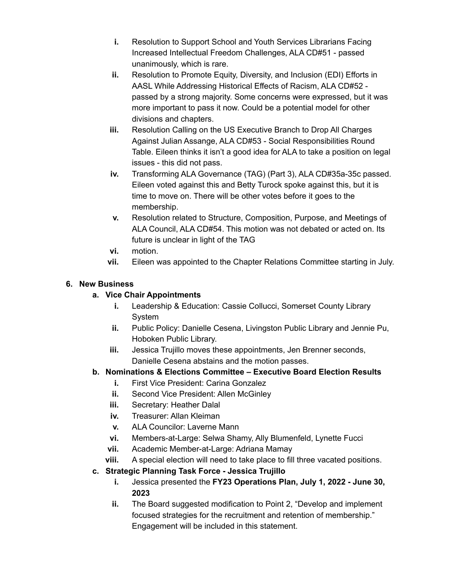- **i.** Resolution to Support School and Youth Services Librarians Facing Increased Intellectual Freedom Challenges, ALA CD#51 - passed unanimously, which is rare.
- **ii.** Resolution to Promote Equity, Diversity, and Inclusion (EDI) Efforts in AASL While Addressing Historical Effects of Racism, ALA CD#52 passed by a strong majority. Some concerns were expressed, but it was more important to pass it now. Could be a potential model for other divisions and chapters.
- **iii.** Resolution Calling on the US Executive Branch to Drop All Charges Against Julian Assange, ALA CD#53 - Social Responsibilities Round Table. Eileen thinks it isn't a good idea for ALA to take a position on legal issues - this did not pass.
- **iv.** Transforming ALA Governance (TAG) (Part 3), ALA CD#35a-35c passed. Eileen voted against this and Betty Turock spoke against this, but it is time to move on. There will be other votes before it goes to the membership.
- **v.** Resolution related to Structure, Composition, Purpose, and Meetings of ALA Council, ALA CD#54. This motion was not debated or acted on. Its future is unclear in light of the TAG
- **vi.** motion.
- **vii.** Eileen was appointed to the Chapter Relations Committee starting in July.

### **6. New Business**

### **a. Vice Chair Appointments**

- **i.** Leadership & Education: Cassie Collucci, Somerset County Library System
- **ii.** Public Policy: Danielle Cesena, Livingston Public Library and Jennie Pu, Hoboken Public Library.
- **iii.** Jessica Trujillo moves these appointments, Jen Brenner seconds, Danielle Cesena abstains and the motion passes.

# **b. Nominations & Elections Committee – Executive Board Election Results**

- **i.** First Vice President: Carina Gonzalez
- **ii.** Second Vice President: Allen McGinley
- **iii.** Secretary: Heather Dalal
- **iv.** Treasurer: Allan Kleiman
- **v.** ALA Councilor: Laverne Mann
- **vi.** Members-at-Large: Selwa Shamy, Ally Blumenfeld, Lynette Fucci
- **vii.** Academic Member-at-Large: Adriana Mamay
- **viii.** A special election will need to take place to fill three vacated positions.
- **c. Strategic Planning Task Force - Jessica Trujillo**
	- **i.** Jessica presented the **FY23 Operations Plan, July 1, 2022 - June 30, 2023**
	- **ii.** The Board suggested modification to Point 2, "Develop and implement focused strategies for the recruitment and retention of membership." Engagement will be included in this statement.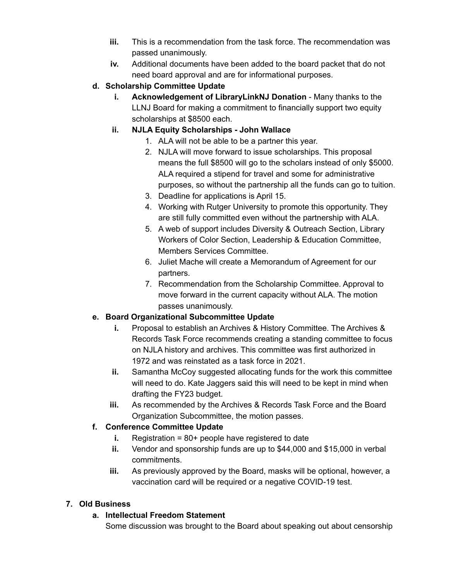- **iii.** This is a recommendation from the task force. The recommendation was passed unanimously.
- **iv.** Additional documents have been added to the board packet that do not need board approval and are for informational purposes.
- **d. Scholarship Committee Update**
	- **i. Acknowledgement of LibraryLinkNJ Donation** Many thanks to the LLNJ Board for making a commitment to financially support two equity scholarships at \$8500 each.
	- **ii. NJLA Equity Scholarships - John Wallace**
		- 1. ALA will not be able to be a partner this year.
		- 2. NJLA will move forward to issue scholarships. This proposal means the full \$8500 will go to the scholars instead of only \$5000. ALA required a stipend for travel and some for administrative purposes, so without the partnership all the funds can go to tuition.
		- 3. Deadline for applications is April 15.
		- 4. Working with Rutger University to promote this opportunity. They are still fully committed even without the partnership with ALA.
		- 5. A web of support includes Diversity & Outreach Section, Library Workers of Color Section, Leadership & Education Committee, Members Services Committee.
		- 6. Juliet Mache will create a Memorandum of Agreement for our partners.
		- 7. Recommendation from the Scholarship Committee. Approval to move forward in the current capacity without ALA. The motion passes unanimously.

# **e. Board Organizational Subcommittee Update**

- **i.** Proposal to establish an Archives & History Committee. The Archives & Records Task Force recommends creating a standing committee to focus on NJLA history and archives. This committee was first authorized in 1972 and was reinstated as a task force in 2021.
- **ii.** Samantha McCoy suggested allocating funds for the work this committee will need to do. Kate Jaggers said this will need to be kept in mind when drafting the FY23 budget.
- **iii.** As recommended by the Archives & Records Task Force and the Board Organization Subcommittee, the motion passes.

# **f. Conference Committee Update**

- **i.** Registration = 80+ people have registered to date
- **ii.** Vendor and sponsorship funds are up to \$44,000 and \$15,000 in verbal commitments.
- **iii.** As previously approved by the Board, masks will be optional, however, a vaccination card will be required or a negative COVID-19 test.

# **7. Old Business**

# **a. Intellectual Freedom Statement**

Some discussion was brought to the Board about speaking out about censorship